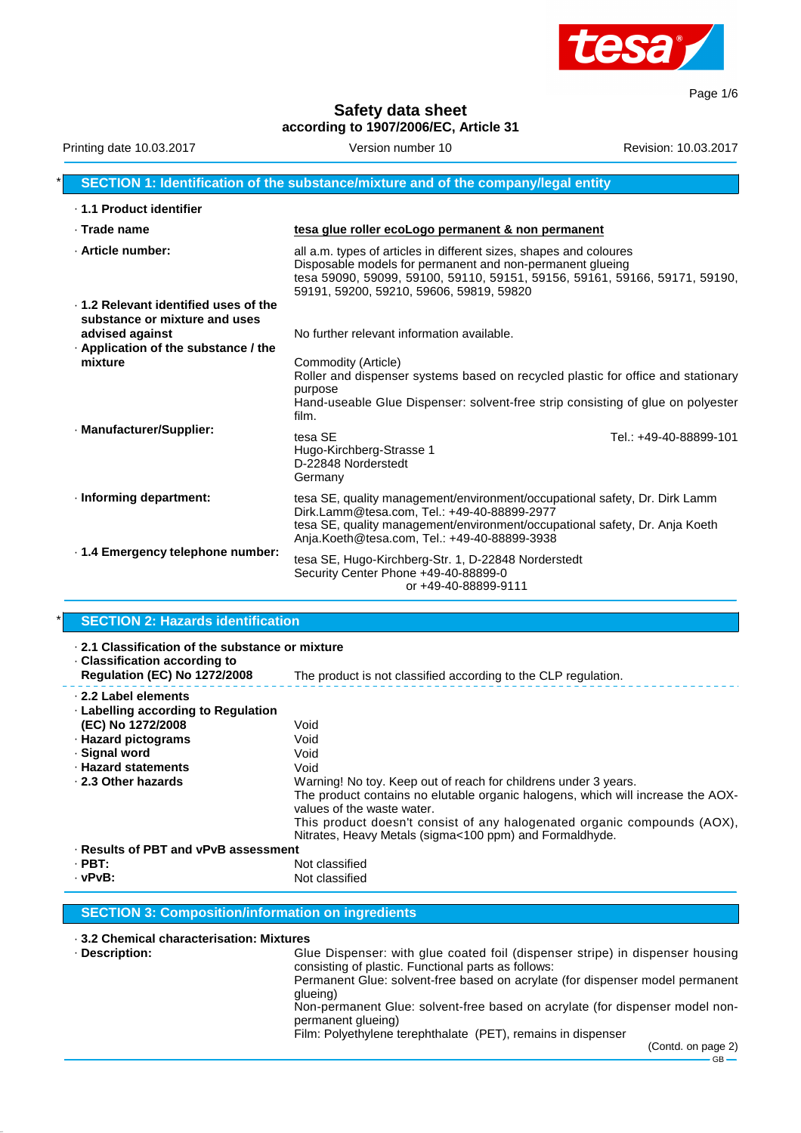

Page 1/6

**Safety data sheet according to 1907/2006/EC, Article 31**

| Printing date 10.03.2017                                                                                                        | Version number 10                                                                                                                                                                                                                                         | Revision: 10.03.2017   |
|---------------------------------------------------------------------------------------------------------------------------------|-----------------------------------------------------------------------------------------------------------------------------------------------------------------------------------------------------------------------------------------------------------|------------------------|
|                                                                                                                                 | SECTION 1: Identification of the substance/mixture and of the company/legal entity                                                                                                                                                                        |                        |
| ⋅ 1.1 Product identifier                                                                                                        |                                                                                                                                                                                                                                                           |                        |
| $\cdot$ Trade name                                                                                                              | tesa glue roller ecoLogo permanent & non permanent                                                                                                                                                                                                        |                        |
| · Article number:                                                                                                               | all a.m. types of articles in different sizes, shapes and coloures<br>Disposable models for permanent and non-permanent glueing<br>tesa 59090, 59099, 59100, 59110, 59151, 59156, 59161, 59166, 59171, 59190,<br>59191, 59200, 59210, 59606, 59819, 59820 |                        |
| ⋅ 1.2 Relevant identified uses of the<br>substance or mixture and uses<br>advised against<br>Application of the substance / the | No further relevant information available.                                                                                                                                                                                                                |                        |
| mixture                                                                                                                         | Commodity (Article)<br>Roller and dispenser systems based on recycled plastic for office and stationary<br>purpose<br>Hand-useable Glue Dispenser: solvent-free strip consisting of glue on polyester<br>film.                                            |                        |
| · Manufacturer/Supplier:                                                                                                        | tesa SE<br>Hugo-Kirchberg-Strasse 1<br>D-22848 Norderstedt<br>Germany                                                                                                                                                                                     | Tel.: +49-40-88899-101 |
| · Informing department:                                                                                                         | tesa SE, quality management/environment/occupational safety, Dr. Dirk Lamm<br>Dirk.Lamm@tesa.com, Tel.: +49-40-88899-2977<br>tesa SE, quality management/environment/occupational safety, Dr. Anja Koeth<br>Anja.Koeth@tesa.com, Tel.: +49-40-88899-3938  |                        |
| . 1.4 Emergency telephone number:                                                                                               | tesa SE, Hugo-Kirchberg-Str. 1, D-22848 Norderstedt<br>Security Center Phone +49-40-88899-0<br>or +49-40-88899-9111                                                                                                                                       |                        |

### **SECTION 2: Hazards identification**

| $\cdot$ 2.1 Classification of the substance or mixture<br>$\cdot$ Classification according to |                                                                                                                                                                                                                                                                                                                         |  |
|-----------------------------------------------------------------------------------------------|-------------------------------------------------------------------------------------------------------------------------------------------------------------------------------------------------------------------------------------------------------------------------------------------------------------------------|--|
| <b>Regulation (EC) No 1272/2008</b>                                                           | The product is not classified according to the CLP regulation.                                                                                                                                                                                                                                                          |  |
| 2.2 Label elements<br>⋅ Labelling according to Regulation                                     |                                                                                                                                                                                                                                                                                                                         |  |
| (EC) No 1272/2008                                                                             | Void                                                                                                                                                                                                                                                                                                                    |  |
| · Hazard pictograms                                                                           | Void                                                                                                                                                                                                                                                                                                                    |  |
| · Signal word                                                                                 | Void                                                                                                                                                                                                                                                                                                                    |  |
| · Hazard statements                                                                           | Void                                                                                                                                                                                                                                                                                                                    |  |
| 2.3 Other hazards                                                                             | Warning! No toy. Keep out of reach for childrens under 3 years.<br>The product contains no elutable organic halogens, which will increase the AOX-<br>values of the waste water.<br>This product doesn't consist of any halogenated organic compounds (AOX),<br>Nitrates, Heavy Metals (sigma<100 ppm) and Formaldhyde. |  |
| · Results of PBT and vPvB assessment                                                          |                                                                                                                                                                                                                                                                                                                         |  |
|                                                                                               |                                                                                                                                                                                                                                                                                                                         |  |

· **PBT:**<br>· **vPvB:** Not classified in the set of the Not classified in the Not classified Not classified

#### **SECTION 3: Composition/information on ingredients**

# · **3.2 Chemical characterisation: Mixtures**

Glue Dispenser: with glue coated foil (dispenser stripe) in dispenser housing consisting of plastic. Functional parts as follows: Permanent Glue: solvent-free based on acrylate (for dispenser model permanent glueing) Non-permanent Glue: solvent-free based on acrylate (for dispenser model nonpermanent glueing)

Film: Polyethylene terephthalate (PET), remains in dispenser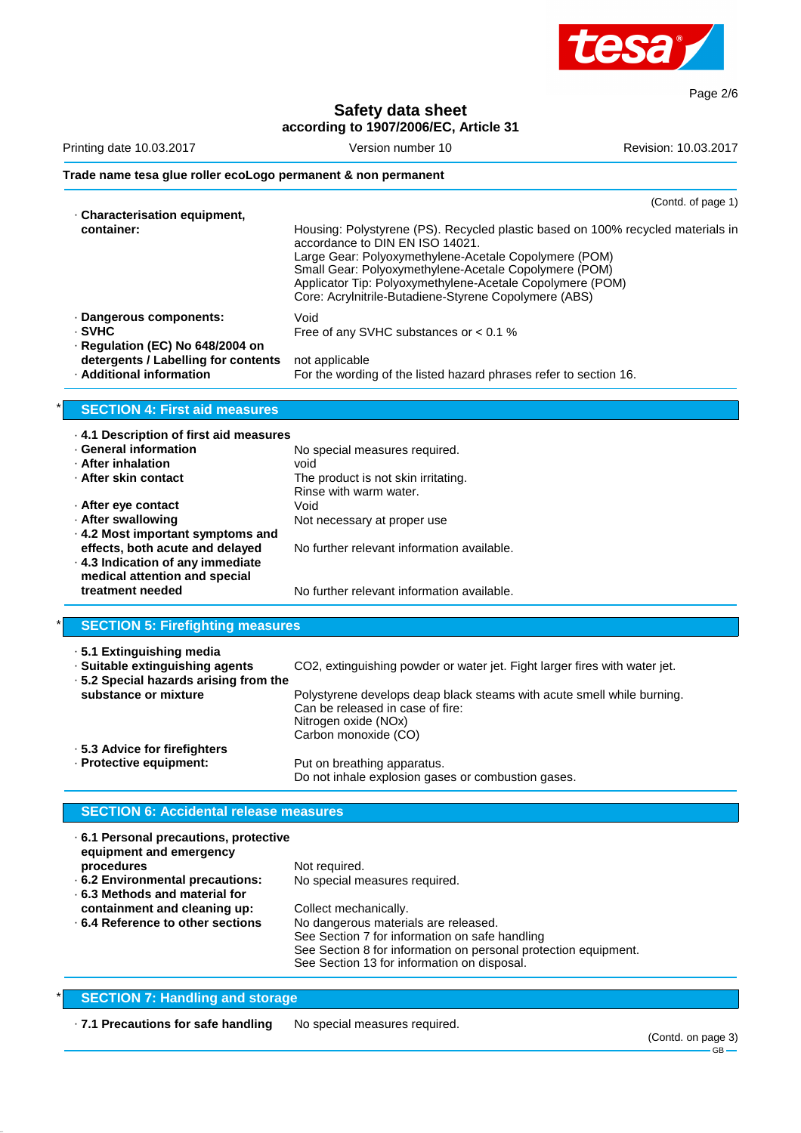

Page 2/6

**Safety data sheet**

| Printing date 10.03.2017                                                                                                                                                                                                                                                                                     | according to 1907/2006/EC, Article 31<br>Version number 10                                                                                                                                                                                                                                                                                                 | Revision: 10.03.2017 |
|--------------------------------------------------------------------------------------------------------------------------------------------------------------------------------------------------------------------------------------------------------------------------------------------------------------|------------------------------------------------------------------------------------------------------------------------------------------------------------------------------------------------------------------------------------------------------------------------------------------------------------------------------------------------------------|----------------------|
| Trade name tesa glue roller ecoLogo permanent & non permanent                                                                                                                                                                                                                                                |                                                                                                                                                                                                                                                                                                                                                            |                      |
|                                                                                                                                                                                                                                                                                                              |                                                                                                                                                                                                                                                                                                                                                            | (Contd. of page 1)   |
| · Characterisation equipment,<br>container:                                                                                                                                                                                                                                                                  | Housing: Polystyrene (PS). Recycled plastic based on 100% recycled materials in<br>accordance to DIN EN ISO 14021.<br>Large Gear: Polyoxymethylene-Acetale Copolymere (POM)<br>Small Gear: Polyoxymethylene-Acetale Copolymere (POM)<br>Applicator Tip: Polyoxymethylene-Acetale Copolymere (POM)<br>Core: Acrylnitrile-Butadiene-Styrene Copolymere (ABS) |                      |
| · Dangerous components:<br>· SVHC                                                                                                                                                                                                                                                                            | Void<br>Free of any SVHC substances or < 0.1 %                                                                                                                                                                                                                                                                                                             |                      |
| · Regulation (EC) No 648/2004 on<br>detergents / Labelling for contents<br>· Additional information                                                                                                                                                                                                          | not applicable<br>For the wording of the listed hazard phrases refer to section 16.                                                                                                                                                                                                                                                                        |                      |
| <b>SECTION 4: First aid measures</b>                                                                                                                                                                                                                                                                         |                                                                                                                                                                                                                                                                                                                                                            |                      |
| 4.1 Description of first aid measures<br><b>General information</b><br>· After inhalation<br>· After skin contact<br>· After eye contact<br>· After swallowing<br>. 4.2 Most important symptoms and<br>effects, both acute and delayed<br>. 4.3 Indication of any immediate<br>medical attention and special | No special measures required.<br>void<br>The product is not skin irritating.<br>Rinse with warm water.<br>Void<br>Not necessary at proper use<br>No further relevant information available.                                                                                                                                                                |                      |
| treatment needed                                                                                                                                                                                                                                                                                             | No further relevant information available.                                                                                                                                                                                                                                                                                                                 |                      |
| <b>SECTION 5: Firefighting measures</b>                                                                                                                                                                                                                                                                      |                                                                                                                                                                                                                                                                                                                                                            |                      |
| · 5.1 Extinguishing media<br>· Suitable extinguishing agents<br>· 5.2 Special hazards arising from the<br>substance or mixture                                                                                                                                                                               | CO2, extinguishing powder or water jet. Fight larger fires with water jet.<br>Polystyrene develops deap black steams with acute smell while burning.<br>Can be released in case of fire:<br>Nitrogen oxide (NOx)<br>Carbon monoxide (CO)                                                                                                                   |                      |
| · 5.3 Advice for firefighters<br>· Protective equipment:                                                                                                                                                                                                                                                     | Put on breathing apparatus.<br>Do not inhale explosion gases or combustion gases.                                                                                                                                                                                                                                                                          |                      |
| <b>SECTION 6: Accidental release measures</b>                                                                                                                                                                                                                                                                |                                                                                                                                                                                                                                                                                                                                                            |                      |
| 6.1 Personal precautions, protective<br>equipment and emergency                                                                                                                                                                                                                                              |                                                                                                                                                                                                                                                                                                                                                            |                      |

| equipment and emergency              |                                                                 |
|--------------------------------------|-----------------------------------------------------------------|
| procedures                           | Not required.                                                   |
| .6.2 Environmental precautions:      | No special measures required.                                   |
| $\cdot$ 6.3 Methods and material for |                                                                 |
| containment and cleaning up:         | Collect mechanically.                                           |
| 6.4 Reference to other sections      | No dangerous materials are released.                            |
|                                      | See Section 7 for information on safe handling                  |
|                                      | See Section 8 for information on personal protection equipment. |
|                                      | See Section 13 for information on disposal.                     |
|                                      |                                                                 |

# **SECTION 7: Handling and storage**

· **7.1 Precautions for safe handling** No special measures required.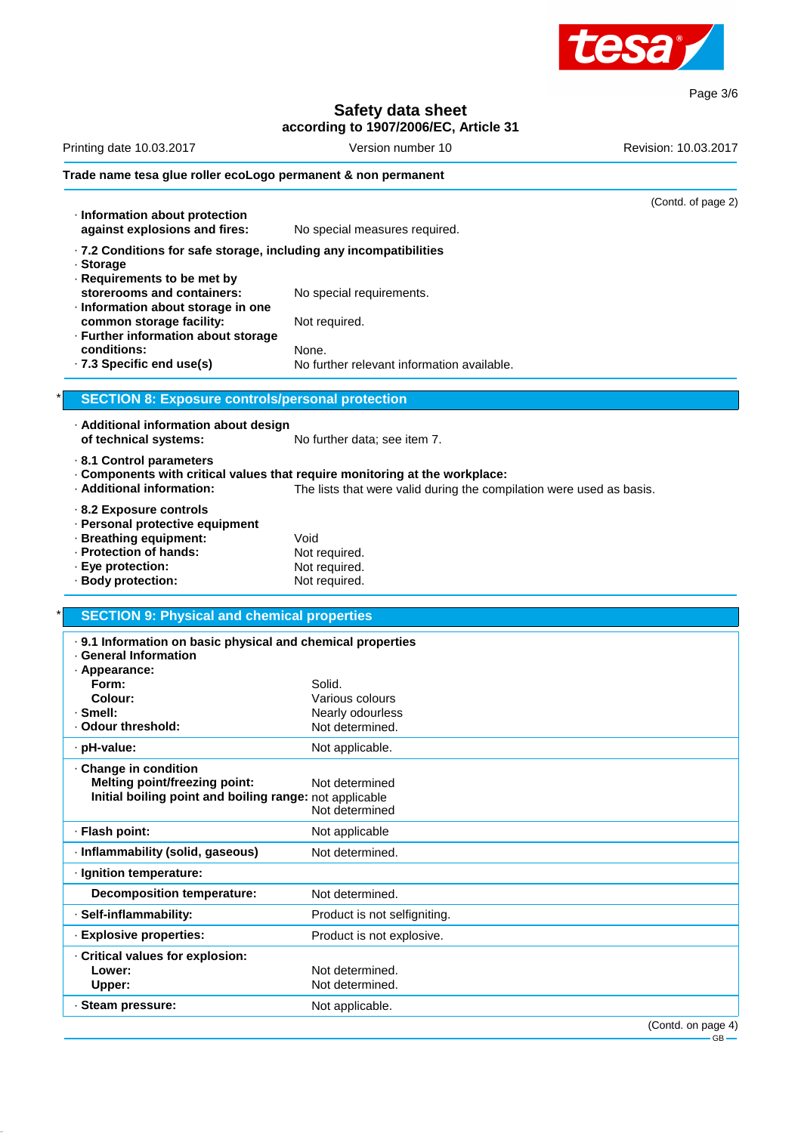

Page 3/6

#### **Safety data sheet according to 1907/2006/EC, Article 31**

# Printing date 10.03.2017 **Version number 10** Revision: 10.03.2017 **Trade name tesa glue roller ecoLogo permanent & non permanent** (Contd. of page 2) · **Information about protection against explosions and fires:** No special measures required. · **7.2 Conditions for safe storage, including any incompatibilities** · **Storage** · **Requirements to be met by** storerooms and containers: No special requirements. · **Information about storage in one common storage facility:** Not required. · **Further information about storage conditions:** None.<br>**7.3 Specific end use(s)** No fur · **7.3 Specific end use(s)** No further relevant information available. **SECTION 8: Exposure controls/personal protection** · **Additional information about design of technical systems:** No further data; see item 7. · **8.1 Control parameters** · **Components with critical values that require monitoring at the workplace:** · **Additional information:** The lists that were valid during the compilation were used as basis.

- · **8.2 Exposure controls**
- · **Personal protective equipment**
- 
- **· Breathing equipment:** Void<br> **Protection of hands:** Not required. • **Protection of hands:** Not required.<br>• **Eye protection:** Not required.
- $\cdot$  Eye protection:
- · **Body protection:** Not required.

#### **SECTION 9: Physical and chemical properties**

| . 9.1 Information on basic physical and chemical properties<br><b>General Information</b><br>· Appearance:<br>Form:<br>Colour:<br>· Smell:<br>· Odour threshold: | Solid.<br>Various colours<br>Nearly odourless<br>Not determined. |
|------------------------------------------------------------------------------------------------------------------------------------------------------------------|------------------------------------------------------------------|
| · pH-value:                                                                                                                                                      | Not applicable.                                                  |
| · Change in condition<br><b>Melting point/freezing point:</b><br>Initial boiling point and boiling range: not applicable                                         | Not determined<br>Not determined                                 |
| · Flash point:                                                                                                                                                   | Not applicable                                                   |
| · Inflammability (solid, gaseous)                                                                                                                                | Not determined.                                                  |
| · Ignition temperature:                                                                                                                                          |                                                                  |
| Decomposition temperature:                                                                                                                                       | Not determined.                                                  |
| · Self-inflammability:                                                                                                                                           | Product is not selfigniting.                                     |
| · Explosive properties:                                                                                                                                          | Product is not explosive.                                        |
| Critical values for explosion:<br>Lower:<br>Upper:                                                                                                               | Not determined.<br>Not determined.                               |
| · Steam pressure:                                                                                                                                                | Not applicable.                                                  |
|                                                                                                                                                                  | $(Contd)$ on page 4)                                             |

on page aye 4)<br>·GB —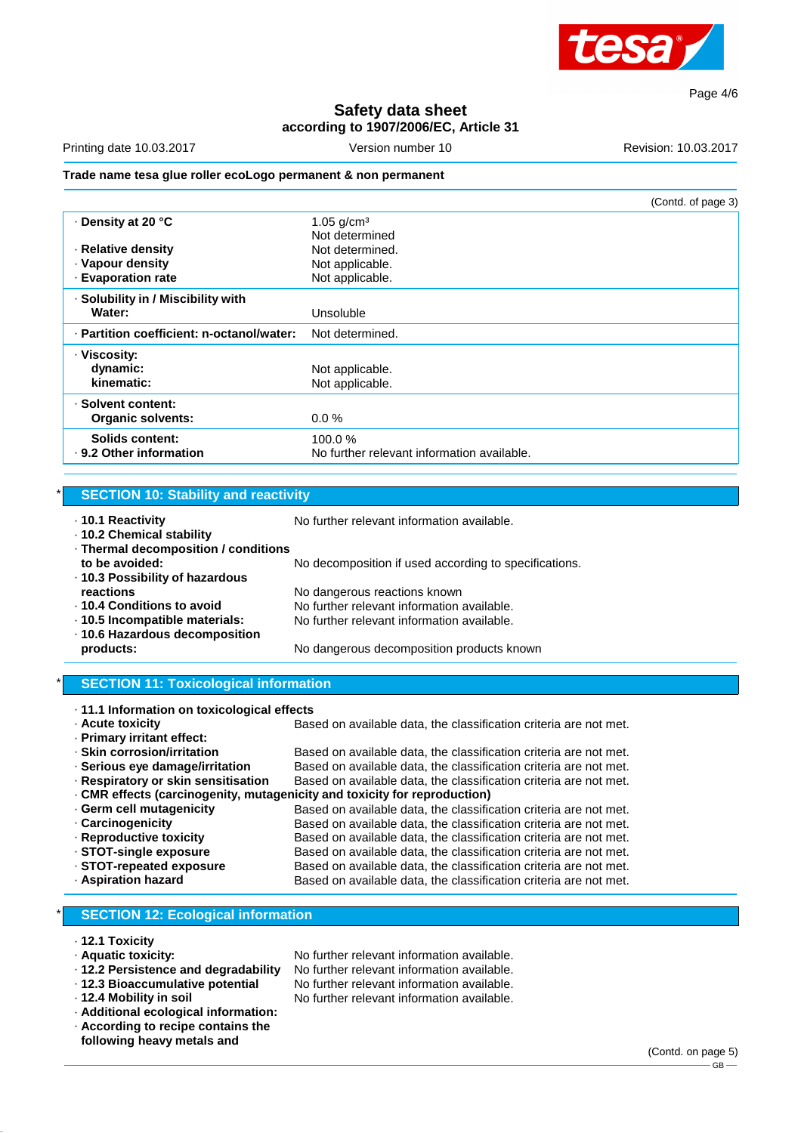

Page 4/6

## **Safety data sheet according to 1907/2006/EC, Article 31**

Printing date 10.03.2017 **Version number 10** Revision: 10.03.2017

#### **Trade name tesa glue roller ecoLogo permanent & non permanent**

|                                           |                                            | (Contd. of page 3) |
|-------------------------------------------|--------------------------------------------|--------------------|
| ⋅ Density at 20 °C                        | 1.05 $g/cm3$<br>Not determined             |                    |
| · Relative density                        | Not determined.                            |                    |
| · Vapour density                          | Not applicable.                            |                    |
| · Evaporation rate                        | Not applicable.                            |                    |
| . Solubility in / Miscibility with        |                                            |                    |
| Water:                                    | Unsoluble                                  |                    |
| · Partition coefficient: n-octanol/water: | Not determined.                            |                    |
| · Viscosity:                              |                                            |                    |
| dynamic:                                  | Not applicable.                            |                    |
| kinematic:                                | Not applicable.                            |                    |
| · Solvent content:                        |                                            |                    |
| <b>Organic solvents:</b>                  | $0.0\%$                                    |                    |
| Solids content:                           | 100.0%                                     |                    |
| ⋅ 9.2 Other information                   | No further relevant information available. |                    |
|                                           |                                            |                    |

#### **SECTION 10: Stability and reactivity**

· **10.2 Chemical stability**

· **10.1 Reactivity** No further relevant information available.

· **Thermal decomposition / conditions to be avoided:** No decomposition if used according to specifications. · **10.3 Possibility of hazardous reactions reactions reactions now be a No dangerous reactions** known · **10.4 Conditions to avoid** No further relevant information available. · **10.5 Incompatible materials:** No further relevant information available. · **10.6 Hazardous decomposition products:** No dangerous decomposition products known

#### **SECTION 11: Toxicological information**

|  | ⋅ 11.1 Information on toxicological effects |  |
|--|---------------------------------------------|--|
|  |                                             |  |

· **Acute toxicity** Based on available data, the classification criteria are not met.

- · **Primary irritant effect:**
- · **Skin corrosion/irritation** Based on available data, the classification criteria are not met. · **Serious eye damage/irritation** Based on available data, the classification criteria are not met. · **Respiratory or skin sensitisation** Based on available data, the classification criteria are not met. · **CMR effects (carcinogenity, mutagenicity and toxicity for reproduction)** · **Germ cell mutagenicity** Based on available data, the classification criteria are not met. · **Carcinogenicity** Based on available data, the classification criteria are not met. · **Reproductive toxicity** Based on available data, the classification criteria are not met.<br>• **STOT-single exposure** Based on available data, the classification criteria are not met. · **STOT-single exposure** Based on available data, the classification criteria are not met. Based on available data, the classification criteria are not met. · **Aspiration hazard** Based on available data, the classification criteria are not met.
- 

## **SECTION 12: Ecological information**

- · **12.1 Toxicity**
- · **Aquatic toxicity:** No further relevant information available.
- 
- 
- 
- · **Additional ecological information:** · **According to recipe contains the**
- **following heavy metals and**

· **12.2 Persistence and degradability** No further relevant information available. No further relevant information available. · **12.4 Mobility in soil** No further relevant information available.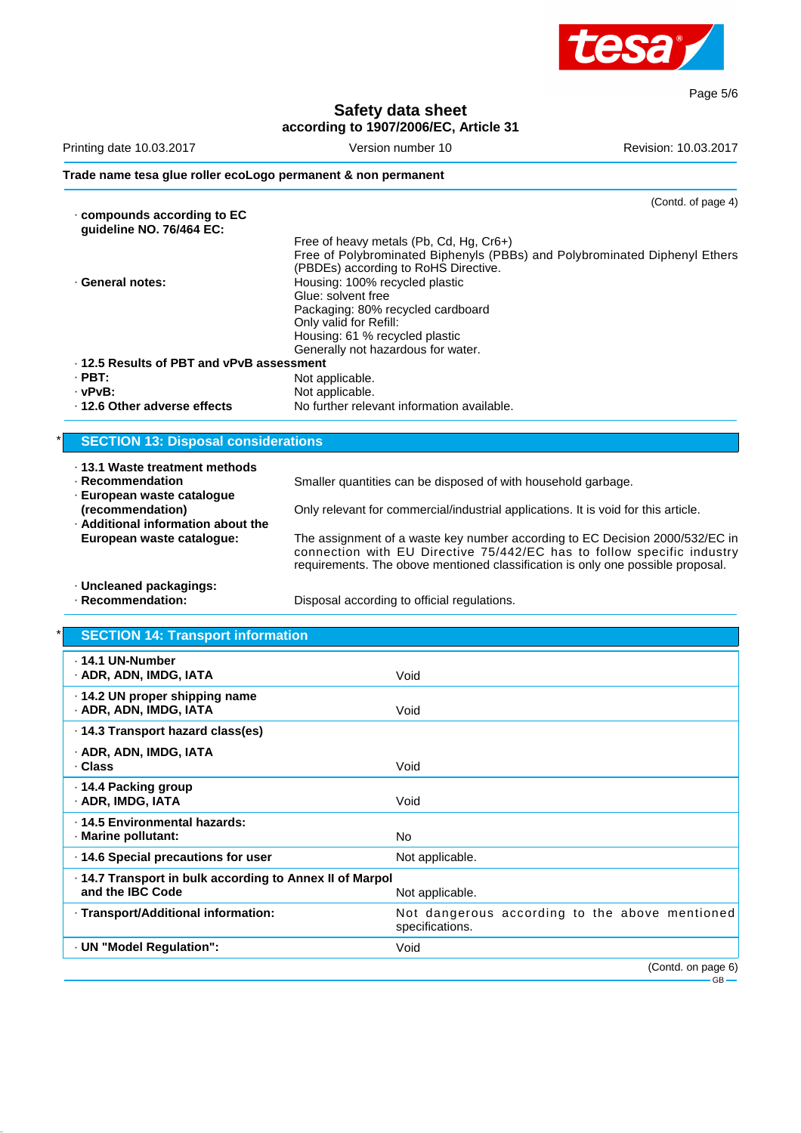

Page 5/6

### **Safety data sheet according to 1907/2006/EC, Article 31**

|                                                               | $acc$ or any to 1301/2000/LC, Article 31                                                                                                                                                                                                  |                      |
|---------------------------------------------------------------|-------------------------------------------------------------------------------------------------------------------------------------------------------------------------------------------------------------------------------------------|----------------------|
| Printing date 10.03.2017                                      | Version number 10                                                                                                                                                                                                                         | Revision: 10.03.2017 |
| Trade name tesa glue roller ecoLogo permanent & non permanent |                                                                                                                                                                                                                                           |                      |
|                                                               |                                                                                                                                                                                                                                           | (Contd. of page 4)   |
| $\cdot$ compounds according to EC<br>guideline NO. 76/464 EC: |                                                                                                                                                                                                                                           |                      |
|                                                               | Free of heavy metals (Pb, Cd, Hg, Cr6+)                                                                                                                                                                                                   |                      |
|                                                               | Free of Polybrominated Biphenyls (PBBs) and Polybrominated Diphenyl Ethers                                                                                                                                                                |                      |
|                                                               | (PBDEs) according to RoHS Directive.                                                                                                                                                                                                      |                      |
| · General notes:                                              | Housing: 100% recycled plastic                                                                                                                                                                                                            |                      |
|                                                               | Glue: solvent free                                                                                                                                                                                                                        |                      |
|                                                               | Packaging: 80% recycled cardboard                                                                                                                                                                                                         |                      |
|                                                               | Only valid for Refill:                                                                                                                                                                                                                    |                      |
|                                                               | Housing: 61 % recycled plastic                                                                                                                                                                                                            |                      |
| . 12.5 Results of PBT and vPvB assessment                     | Generally not hazardous for water.                                                                                                                                                                                                        |                      |
|                                                               |                                                                                                                                                                                                                                           |                      |
| $\cdot$ PBT:                                                  | Not applicable.                                                                                                                                                                                                                           |                      |
| $\cdot$ vPvB:                                                 | Not applicable.                                                                                                                                                                                                                           |                      |
| · 12.6 Other adverse effects                                  | No further relevant information available.                                                                                                                                                                                                |                      |
| <b>SECTION 13: Disposal considerations</b>                    |                                                                                                                                                                                                                                           |                      |
|                                                               |                                                                                                                                                                                                                                           |                      |
| · 13.1 Waste treatment methods                                |                                                                                                                                                                                                                                           |                      |
| · Recommendation                                              | Smaller quantities can be disposed of with household garbage.                                                                                                                                                                             |                      |
| · European waste catalogue                                    |                                                                                                                                                                                                                                           |                      |
| (recommendation)                                              | Only relevant for commercial/industrial applications. It is void for this article.                                                                                                                                                        |                      |
| . Additional information about the                            |                                                                                                                                                                                                                                           |                      |
| European waste catalogue:                                     | The assignment of a waste key number according to EC Decision 2000/532/EC in<br>connection with EU Directive 75/442/EC has to follow specific industry<br>requirements. The obove mentioned classification is only one possible proposal. |                      |

· **Uncleaned packagings:**

Disposal according to official regulations.

# **SECTION 14: Transport information**

| ⋅ 14.1 UN-Number<br>· ADR, ADN, IMDG, IATA                                   | Void                                                              |
|------------------------------------------------------------------------------|-------------------------------------------------------------------|
| · 14.2 UN proper shipping name<br>· ADR, ADN, IMDG, IATA                     | Void                                                              |
| · 14.3 Transport hazard class(es)                                            |                                                                   |
| · ADR, ADN, IMDG, IATA<br>· Class                                            | Void                                                              |
| ⋅ 14.4 Packing group<br>· ADR, IMDG, IATA                                    | Void                                                              |
| · 14.5 Environmental hazards:<br>· Marine pollutant:                         | No.                                                               |
| 14.6 Special precautions for user                                            | Not applicable.                                                   |
| · 14.7 Transport in bulk according to Annex II of Marpol<br>and the IBC Code | Not applicable.                                                   |
| · Transport/Additional information:                                          | Not dangerous according to the above mentioned<br>specifications. |
| · UN "Model Regulation":                                                     | Void                                                              |
|                                                                              | (Contd. on page 6)                                                |
|                                                                              | $GB$ —                                                            |